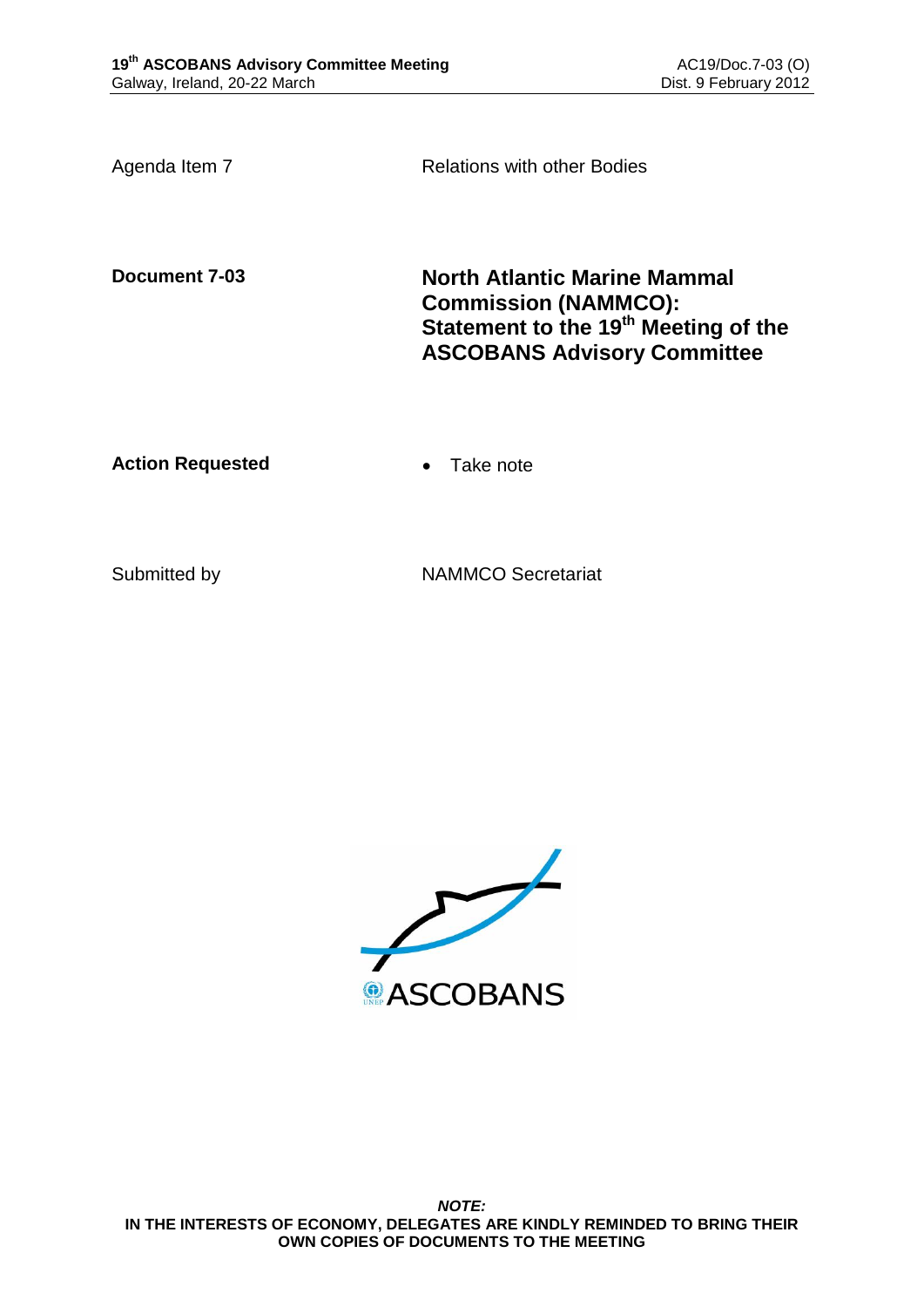Agenda Item 7 **Relations with other Bodies** 

**Document 7-03 North Atlantic Marine Mammal Commission (NAMMCO): Statement to the 19th Meeting of the ASCOBANS Advisory Committee**

**Action Requested • Take note** 

Submitted by NAMMCO Secretariat

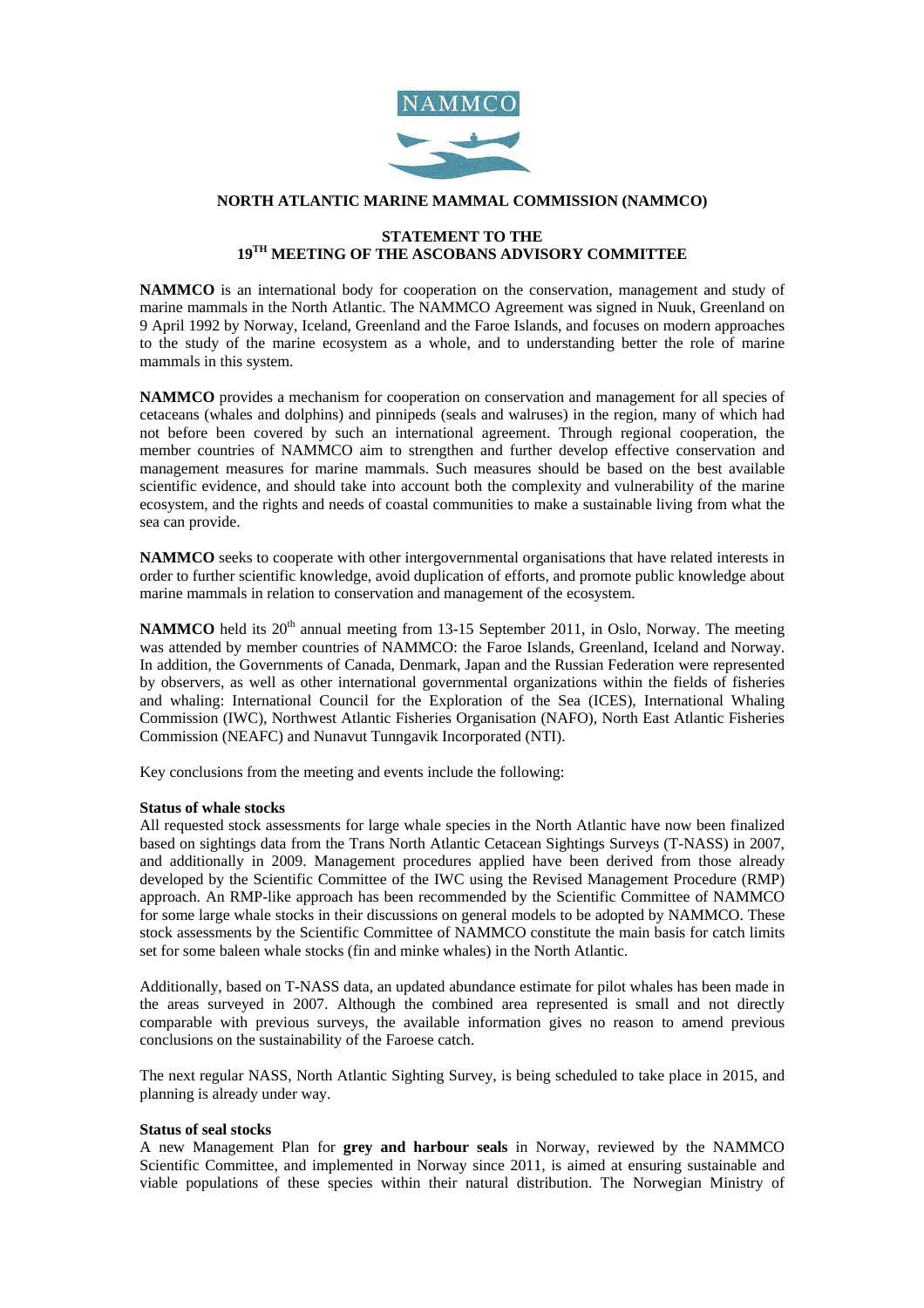

## **NORTH ATLANTIC MARINE MAMMAL COMMISSION (NAMMCO)**

# **STATEMENT TO THE 19TH MEETING OF THE ASCOBANS ADVISORY COMMITTEE**

**NAMMCO** is an international body for cooperation on the conservation, management and study of marine mammals in the North Atlantic. The NAMMCO Agreement was signed in Nuuk, Greenland on 9 April 1992 by Norway, Iceland, Greenland and the Faroe Islands, and focuses on modern approaches to the study of the marine ecosystem as a whole, and to understanding better the role of marine mammals in this system.

**NAMMCO** provides a mechanism for cooperation on conservation and management for all species of cetaceans (whales and dolphins) and pinnipeds (seals and walruses) in the region, many of which had not before been covered by such an international agreement. Through regional cooperation, the member countries of NAMMCO aim to strengthen and further develop effective conservation and management measures for marine mammals. Such measures should be based on the best available scientific evidence, and should take into account both the complexity and vulnerability of the marine ecosystem, and the rights and needs of coastal communities to make a sustainable living from what the sea can provide.

**NAMMCO** seeks to cooperate with other intergovernmental organisations that have related interests in order to further scientific knowledge, avoid duplication of efforts, and promote public knowledge about marine mammals in relation to conservation and management of the ecosystem.

**NAMMCO** held its 20<sup>th</sup> annual meeting from 13-15 September 2011, in Oslo, Norway. The meeting was attended by member countries of NAMMCO: the Faroe Islands, Greenland, Iceland and Norway. In addition, the Governments of Canada, Denmark, Japan and the Russian Federation were represented by observers, as well as other international governmental organizations within the fields of fisheries and whaling: International Council for the Exploration of the Sea (ICES), International Whaling Commission (IWC), Northwest Atlantic Fisheries Organisation (NAFO), North East Atlantic Fisheries Commission (NEAFC) and Nunavut Tunngavik Incorporated (NTI).

Key conclusions from the meeting and events include the following:

#### **Status of whale stocks**

All requested stock assessments for large whale species in the North Atlantic have now been finalized based on sightings data from the Trans North Atlantic Cetacean Sightings Surveys (T-NASS) in 2007, and additionally in 2009. Management procedures applied have been derived from those already developed by the Scientific Committee of the IWC using the Revised Management Procedure (RMP) approach. An RMP-like approach has been recommended by the Scientific Committee of NAMMCO for some large whale stocks in their discussions on general models to be adopted by NAMMCO. These stock assessments by the Scientific Committee of NAMMCO constitute the main basis for catch limits set for some baleen whale stocks (fin and minke whales) in the North Atlantic.

Additionally, based on T-NASS data, an updated abundance estimate for pilot whales has been made in the areas surveyed in 2007. Although the combined area represented is small and not directly comparable with previous surveys, the available information gives no reason to amend previous conclusions on the sustainability of the Faroese catch.

The next regular NASS, North Atlantic Sighting Survey, is being scheduled to take place in 2015, and planning is already under way.

#### **Status of seal stocks**

A new Management Plan for **grey and harbour seals** in Norway, reviewed by the NAMMCO Scientific Committee, and implemented in Norway since 2011, is aimed at ensuring sustainable and viable populations of these species within their natural distribution. The Norwegian Ministry of